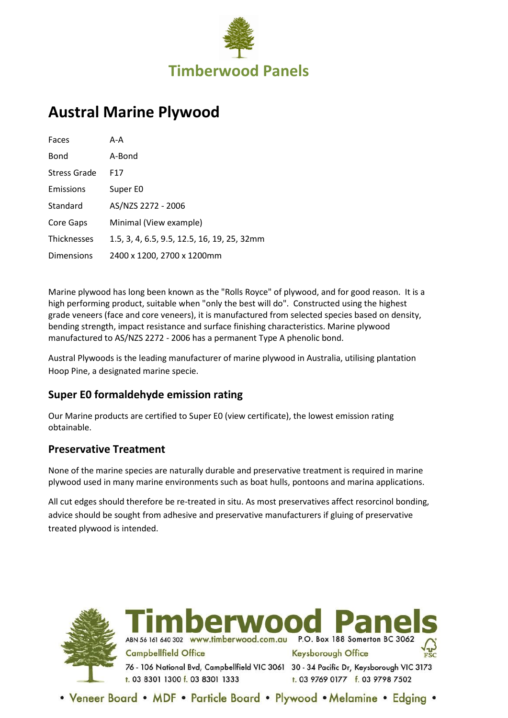

# **Austral Marine Plywood**

| Faces              | A-A                                         |
|--------------------|---------------------------------------------|
| Bond               | A-Bond                                      |
| Stress Grade       | F17                                         |
| Emissions          | Super E0                                    |
| Standard           | AS/NZS 2272 - 2006                          |
| Core Gaps          | Minimal (View example)                      |
| <b>Thicknesses</b> | 1.5, 3, 4, 6.5, 9.5, 12.5, 16, 19, 25, 32mm |
| Dimensions         | 2400 x 1200, 2700 x 1200mm                  |

Marine plywood has long been known as the "Rolls Royce" of plywood, and for good reason. It is a high performing product, suitable when "only the best will do". Constructed using the highest grade veneers (face and core veneers), it is manufactured from selected species based on density, bending strength, impact resistance and surface finishing characteristics. Marine plywood manufactured to AS/NZS 2272 - 2006 has a permanent Type A phenolic bond.

Austral Plywoods is the leading manufacturer of marine plywood in Australia, utilising plantation Hoop Pine, a designated marine specie.

# **Super E0 formaldehyde emission rating**

Our Marine products are certified to Super E0 (view certificate), the lowest emission rating obtainable.

#### **Preservative Treatment**

None of the marine species are naturally durable and preservative treatment is required in marine plywood used in many marine environments such as boat hulls, pontoons and marina applications.

All cut edges should therefore be re-treated in situ. As most preservatives affect resorcinol bonding, advice should be sought from adhesive and preservative manufacturers if gluing of preservative treated plywood is intended.



rwoo ABN 56 161 640 302 www.timberwood.com.au P.O. Box 188 Somerton BC 3062 **Campbellfield Office Keysborough Office** 76 - 106 National Bvd, Campbellfield VIC 3061 30 - 34 Pacific Dr, Keysborough VIC 3173 t. 03 8301 1300 f. 03 8301 1333 t. 03 9769 0177 f. 03 9798 7502

. Veneer Board . MDF . Particle Board . Plywood . Melamine . Edging .